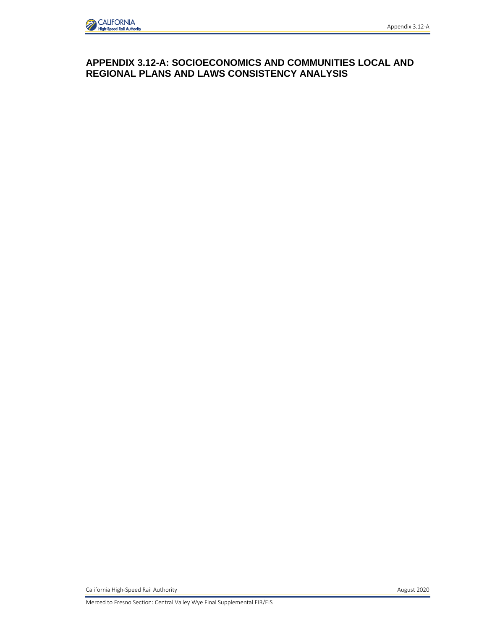## **APPENDIX 3.12-A: SOCIOECONOMICS AND COMMUNITIES LOCAL AND REGIONAL PLANS AND LAWS CONSISTENCY ANALYSIS**

California High-Speed Rail Authority **August 2020** 

Merced to Fresno Section: Central Valley Wye Final Supplemental EIR/EIS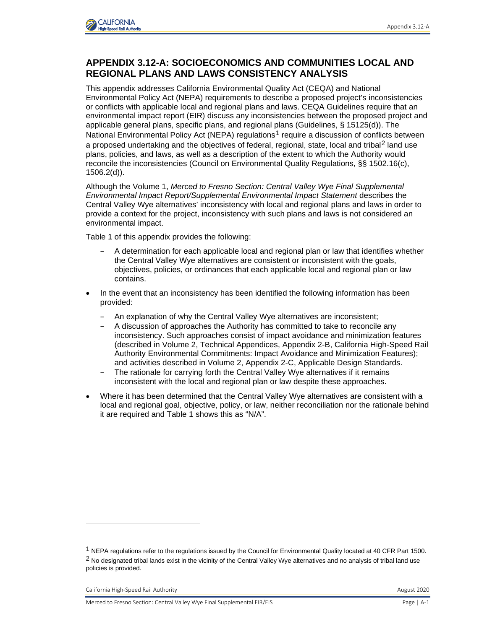

## **APPENDIX 3.12-A: SOCIOECONOMICS AND COMMUNITIES LOCAL AND REGIONAL PLANS AND LAWS CONSISTENCY ANALYSIS**

This appendix addresses California Environmental Quality Act (CEQA) and National Environmental Policy Act (NEPA) requirements to describe a proposed project's inconsistencies or conflicts with applicable local and regional plans and laws. CEQA Guidelines require that an environmental impact report (EIR) discuss any inconsistencies between the proposed project and applicable general plans, specific plans, and regional plans (Guidelines, § 15125(d)). The National Environmental Policy Act (NEPA) regulations<sup>[1](#page-1-0)</sup> require a discussion of conflicts between a proposed undertaking and the objectives of federal, regional, state, local and tribal<sup>[2](#page-1-1)</sup> land use plans, policies, and laws, as well as a description of the extent to which the Authority would reconcile the inconsistencies (Council on Environmental Quality Regulations, §§ 1502.16(c), 1506.2(d)).

Although the Volume 1, *Merced to Fresno Section: Central Valley Wye Final Supplemental Environmental Impact Report/Supplemental Environmental Impact Statement* describes the Central Valley Wye alternatives' inconsistency with local and regional plans and laws in order to provide a context for the project, inconsistency with such plans and laws is not considered an environmental impact.

Table 1 of this appendix provides the following:

- A determination for each applicable local and regional plan or law that identifies whether the Central Valley Wye alternatives are consistent or inconsistent with the goals, objectives, policies, or ordinances that each applicable local and regional plan or law contains.
- In the event that an inconsistency has been identified the following information has been provided:
	- An explanation of why the Central Valley Wye alternatives are inconsistent;
	- A discussion of approaches the Authority has committed to take to reconcile any inconsistency. Such approaches consist of impact avoidance and minimization features (described in Volume 2, Technical Appendices, Appendix 2-B, California High-Speed Rail Authority Environmental Commitments: Impact Avoidance and Minimization Features); and activities described in Volume 2, Appendix 2-C, Applicable Design Standards.
	- The rationale for carrying forth the Central Valley Wye alternatives if it remains inconsistent with the local and regional plan or law despite these approaches.
- Where it has been determined that the Central Valley Wye alternatives are consistent with a local and regional goal, objective, policy, or law, neither reconciliation nor the rationale behind it are required and Table 1 shows this as "N/A".

<span id="page-1-1"></span><span id="page-1-0"></span><sup>1</sup> NEPA regulations refer to the regulations issued by the Council for Environmental Quality located at 40 CFR Part 1500.  $2$  No designated tribal lands exist in the vicinity of the Central Valley Wye alternatives and no analysis of tribal land use policies is provided.

California High-Speed Rail Authority **August 2020** California High-Speed Rail Authority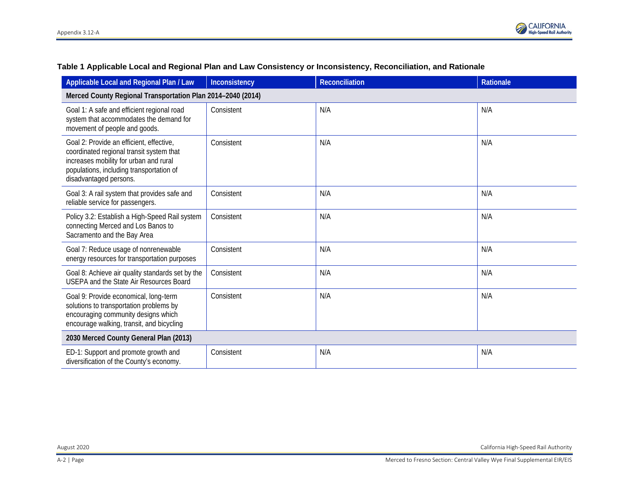| Applicable Local and Regional Plan / Law                                                                                                                                                             | Inconsistency | <b>Reconciliation</b> | Rationale |  |  |
|------------------------------------------------------------------------------------------------------------------------------------------------------------------------------------------------------|---------------|-----------------------|-----------|--|--|
| Merced County Regional Transportation Plan 2014-2040 (2014)                                                                                                                                          |               |                       |           |  |  |
| Goal 1: A safe and efficient regional road<br>system that accommodates the demand for<br>movement of people and goods.                                                                               | Consistent    | N/A                   | N/A       |  |  |
| Goal 2: Provide an efficient, effective,<br>coordinated regional transit system that<br>increases mobility for urban and rural<br>populations, including transportation of<br>disadvantaged persons. | Consistent    | N/A                   | N/A       |  |  |
| Goal 3: A rail system that provides safe and<br>reliable service for passengers.                                                                                                                     | Consistent    | N/A                   | N/A       |  |  |
| Policy 3.2: Establish a High-Speed Rail system<br>connecting Merced and Los Banos to<br>Sacramento and the Bay Area                                                                                  | Consistent    | N/A                   | N/A       |  |  |
| Goal 7: Reduce usage of nonrenewable<br>energy resources for transportation purposes                                                                                                                 | Consistent    | N/A                   | N/A       |  |  |
| Goal 8: Achieve air quality standards set by the<br>USEPA and the State Air Resources Board                                                                                                          | Consistent    | N/A                   | N/A       |  |  |
| Goal 9: Provide economical, long-term<br>solutions to transportation problems by<br>encouraging community designs which<br>encourage walking, transit, and bicycling                                 | Consistent    | N/A                   | N/A       |  |  |
| 2030 Merced County General Plan (2013)                                                                                                                                                               |               |                       |           |  |  |
| ED-1: Support and promote growth and<br>diversification of the County's economy.                                                                                                                     | Consistent    | N/A                   | N/A       |  |  |

## **Table 1 Applicable Local and Regional Plan and Law Consistency or Inconsistency, Reconciliation, and Rationale**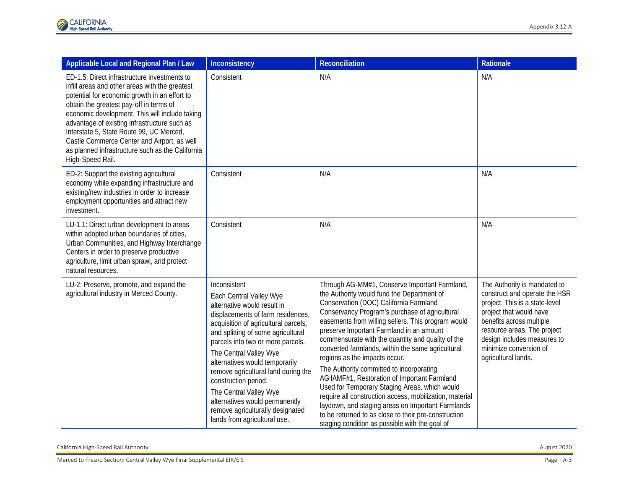| Applicable Local and Regional Plan / Law                                                                                                                                                                                                                                                                                                                                                                                                                        | Inconsistency                                                                                                                                                                                                                                                                                                                                                                                                                                                                             | <b>Reconciliation</b>                                                                                                                                                                                                                                                                                                                                                                                                                                                                                                                                                                                                                                                                                                                                                                                       | Rationale                                                                                                                                                                                                                                                             |
|-----------------------------------------------------------------------------------------------------------------------------------------------------------------------------------------------------------------------------------------------------------------------------------------------------------------------------------------------------------------------------------------------------------------------------------------------------------------|-------------------------------------------------------------------------------------------------------------------------------------------------------------------------------------------------------------------------------------------------------------------------------------------------------------------------------------------------------------------------------------------------------------------------------------------------------------------------------------------|-------------------------------------------------------------------------------------------------------------------------------------------------------------------------------------------------------------------------------------------------------------------------------------------------------------------------------------------------------------------------------------------------------------------------------------------------------------------------------------------------------------------------------------------------------------------------------------------------------------------------------------------------------------------------------------------------------------------------------------------------------------------------------------------------------------|-----------------------------------------------------------------------------------------------------------------------------------------------------------------------------------------------------------------------------------------------------------------------|
| ED-1.5: Direct infrastructure investments to<br>infill areas and other areas with the greatest<br>potential for economic growth in an effort to<br>obtain the greatest pay-off in terms of<br>economic development. This will include taking<br>advantage of existing infrastructure such as<br>Interstate 5, State Route 99, UC Merced,<br>Castle Commerce Center and Airport, as well<br>as planned infrastructure such as the California<br>High-Speed Rail. | Consistent                                                                                                                                                                                                                                                                                                                                                                                                                                                                                | N/A                                                                                                                                                                                                                                                                                                                                                                                                                                                                                                                                                                                                                                                                                                                                                                                                         | N/A                                                                                                                                                                                                                                                                   |
| ED-2: Support the existing agricultural<br>economy while expanding infrastructure and<br>existing/new industries in order to increase<br>employment opportunities and attract new<br>investment.                                                                                                                                                                                                                                                                | Consistent                                                                                                                                                                                                                                                                                                                                                                                                                                                                                | N/A                                                                                                                                                                                                                                                                                                                                                                                                                                                                                                                                                                                                                                                                                                                                                                                                         | N/A                                                                                                                                                                                                                                                                   |
| LU-1.1: Direct urban development to areas<br>within adopted urban boundaries of cities,<br>Urban Communities, and Highway Interchange<br>Centers in order to preserve productive<br>agriculture, limit urban sprawl, and protect<br>natural resources.                                                                                                                                                                                                          | Consistent                                                                                                                                                                                                                                                                                                                                                                                                                                                                                | N/A                                                                                                                                                                                                                                                                                                                                                                                                                                                                                                                                                                                                                                                                                                                                                                                                         | N/A                                                                                                                                                                                                                                                                   |
| LU-2: Preserve, promote, and expand the<br>agricultural industry in Merced County.                                                                                                                                                                                                                                                                                                                                                                              | Inconsistent<br>Each Central Valley Wye<br>alternative would result in<br>displacements of farm residences,<br>acquisition of agricultural parcels,<br>and splitting of some agricultural<br>parcels into two or more parcels.<br>The Central Valley Wye<br>alternatives would temporarily<br>remove agricultural land during the<br>construction period.<br>The Central Valley Wye<br>alternatives would permanently<br>remove agriculturally designated<br>lands from agricultural use. | Through AG-MM#1, Conserve Important Farmland,<br>the Authority would fund the Department of<br>Conservation (DOC) California Farmland<br>Conservancy Program's purchase of agricultural<br>easements from willing sellers. This program would<br>preserve Important Farmland in an amount<br>commensurate with the quantity and quality of the<br>converted farmlands, within the same agricultural<br>regions as the impacts occur.<br>The Authority committed to incorporating<br>AG-IAMF#1, Restoration of Important Farmland<br>Used for Temporary Staging Areas, which would<br>require all construction access, mobilization, material<br>laydown, and staging areas on Important Farmlands<br>to be returned to as close to their pre-construction<br>staging condition as possible with the goal of | The Authority is mandated to<br>construct and operate the HSR<br>project. This is a state-level<br>project that would have<br>benefits across multiple<br>resource areas. The project<br>design includes measures to<br>minimize conversion of<br>agricultural lands. |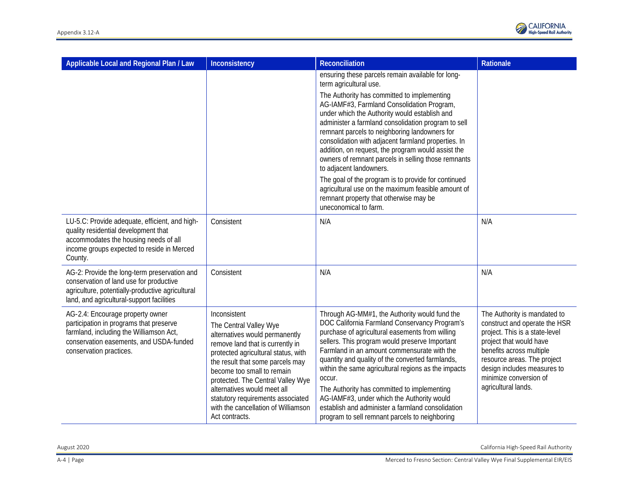

| Applicable Local and Regional Plan / Law                                                                                                                                                     | Inconsistency                                                                                                                                                                                                                                                                                                                                                                           | <b>Reconciliation</b>                                                                                                                                                                                                                                                                                                                                                                                                                                                                                                                                                       | Rationale                                                                                                                                                                                                                                                             |
|----------------------------------------------------------------------------------------------------------------------------------------------------------------------------------------------|-----------------------------------------------------------------------------------------------------------------------------------------------------------------------------------------------------------------------------------------------------------------------------------------------------------------------------------------------------------------------------------------|-----------------------------------------------------------------------------------------------------------------------------------------------------------------------------------------------------------------------------------------------------------------------------------------------------------------------------------------------------------------------------------------------------------------------------------------------------------------------------------------------------------------------------------------------------------------------------|-----------------------------------------------------------------------------------------------------------------------------------------------------------------------------------------------------------------------------------------------------------------------|
|                                                                                                                                                                                              |                                                                                                                                                                                                                                                                                                                                                                                         | ensuring these parcels remain available for long-<br>term agricultural use.                                                                                                                                                                                                                                                                                                                                                                                                                                                                                                 |                                                                                                                                                                                                                                                                       |
|                                                                                                                                                                                              |                                                                                                                                                                                                                                                                                                                                                                                         | The Authority has committed to implementing<br>AG-IAMF#3, Farmland Consolidation Program,<br>under which the Authority would establish and<br>administer a farmland consolidation program to sell<br>remnant parcels to neighboring landowners for<br>consolidation with adjacent farmland properties. In<br>addition, on request, the program would assist the<br>owners of remnant parcels in selling those remnants<br>to adjacent landowners.                                                                                                                           |                                                                                                                                                                                                                                                                       |
|                                                                                                                                                                                              |                                                                                                                                                                                                                                                                                                                                                                                         | The goal of the program is to provide for continued<br>agricultural use on the maximum feasible amount of<br>remnant property that otherwise may be<br>uneconomical to farm.                                                                                                                                                                                                                                                                                                                                                                                                |                                                                                                                                                                                                                                                                       |
| LU-5.C: Provide adequate, efficient, and high-<br>quality residential development that<br>accommodates the housing needs of all<br>income groups expected to reside in Merced<br>County.     | Consistent                                                                                                                                                                                                                                                                                                                                                                              | N/A                                                                                                                                                                                                                                                                                                                                                                                                                                                                                                                                                                         | N/A                                                                                                                                                                                                                                                                   |
| AG-2: Provide the long-term preservation and<br>conservation of land use for productive<br>agriculture, potentially-productive agricultural<br>land, and agricultural-support facilities     | Consistent                                                                                                                                                                                                                                                                                                                                                                              | N/A                                                                                                                                                                                                                                                                                                                                                                                                                                                                                                                                                                         | N/A                                                                                                                                                                                                                                                                   |
| AG-2.4: Encourage property owner<br>participation in programs that preserve<br>farmland, including the Williamson Act,<br>conservation easements, and USDA-funded<br>conservation practices. | Inconsistent<br>The Central Valley Wye<br>alternatives would permanently<br>remove land that is currently in<br>protected agricultural status, with<br>the result that some parcels may<br>become too small to remain<br>protected. The Central Valley Wye<br>alternatives would meet all<br>statutory requirements associated<br>with the cancellation of Williamson<br>Act contracts. | Through AG-MM#1, the Authority would fund the<br>DOC California Farmland Conservancy Program's<br>purchase of agricultural easements from willing<br>sellers. This program would preserve Important<br>Farmland in an amount commensurate with the<br>quantity and quality of the converted farmlands,<br>within the same agricultural regions as the impacts<br>occur.<br>The Authority has committed to implementing<br>AG-IAMF#3, under which the Authority would<br>establish and administer a farmland consolidation<br>program to sell remnant parcels to neighboring | The Authority is mandated to<br>construct and operate the HSR<br>project. This is a state-level<br>project that would have<br>benefits across multiple<br>resource areas. The project<br>design includes measures to<br>minimize conversion of<br>agricultural lands. |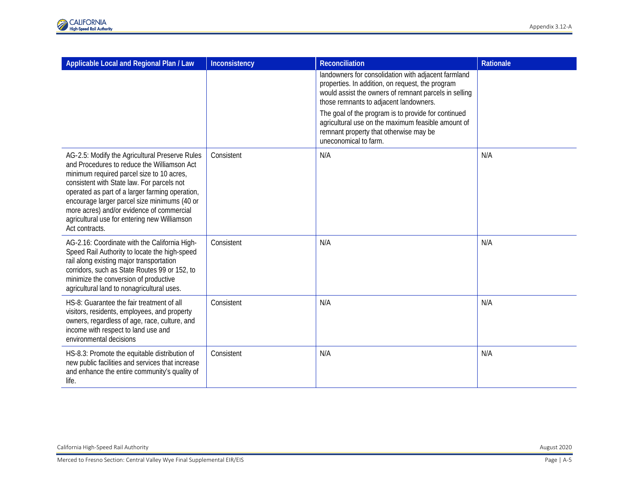| Applicable Local and Regional Plan / Law                                                                                                                                                                                                                                                                                                                                                                   | Inconsistency | <b>Reconciliation</b>                                                                                                                                                                                      | <b>Rationale</b> |
|------------------------------------------------------------------------------------------------------------------------------------------------------------------------------------------------------------------------------------------------------------------------------------------------------------------------------------------------------------------------------------------------------------|---------------|------------------------------------------------------------------------------------------------------------------------------------------------------------------------------------------------------------|------------------|
|                                                                                                                                                                                                                                                                                                                                                                                                            |               | landowners for consolidation with adjacent farmland<br>properties. In addition, on request, the program<br>would assist the owners of remnant parcels in selling<br>those remnants to adjacent landowners. |                  |
|                                                                                                                                                                                                                                                                                                                                                                                                            |               | The goal of the program is to provide for continued<br>agricultural use on the maximum feasible amount of<br>remnant property that otherwise may be<br>uneconomical to farm.                               |                  |
| AG-2.5: Modify the Agricultural Preserve Rules<br>and Procedures to reduce the Williamson Act<br>minimum required parcel size to 10 acres,<br>consistent with State law. For parcels not<br>operated as part of a larger farming operation,<br>encourage larger parcel size minimums (40 or<br>more acres) and/or evidence of commercial<br>agricultural use for entering new Williamson<br>Act contracts. | Consistent    | N/A                                                                                                                                                                                                        | N/A              |
| AG-2.16: Coordinate with the California High-<br>Speed Rail Authority to locate the high-speed<br>rail along existing major transportation<br>corridors, such as State Routes 99 or 152, to<br>minimize the conversion of productive<br>agricultural land to nonagricultural uses.                                                                                                                         | Consistent    | N/A                                                                                                                                                                                                        | N/A              |
| HS-8: Guarantee the fair treatment of all<br>visitors, residents, employees, and property<br>owners, regardless of age, race, culture, and<br>income with respect to land use and<br>environmental decisions                                                                                                                                                                                               | Consistent    | N/A                                                                                                                                                                                                        | N/A              |
| HS-8.3: Promote the equitable distribution of<br>new public facilities and services that increase<br>and enhance the entire community's quality of<br>life.                                                                                                                                                                                                                                                | Consistent    | N/A                                                                                                                                                                                                        | N/A              |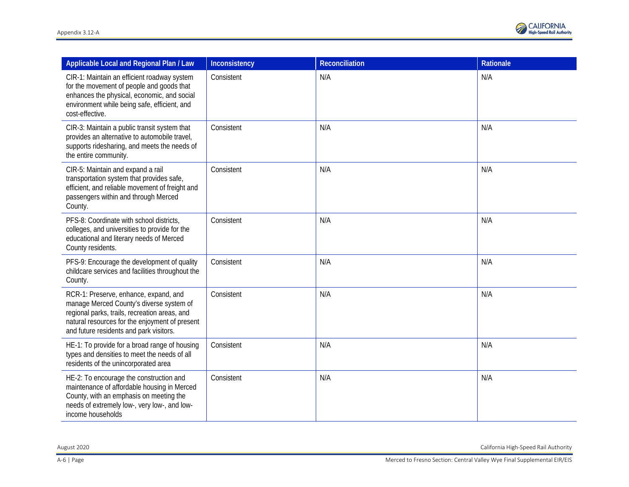

| Applicable Local and Regional Plan / Law                                                                                                                                                                                        | Inconsistency | Reconciliation | Rationale |
|---------------------------------------------------------------------------------------------------------------------------------------------------------------------------------------------------------------------------------|---------------|----------------|-----------|
| CIR-1: Maintain an efficient roadway system<br>for the movement of people and goods that<br>enhances the physical, economic, and social<br>environment while being safe, efficient, and<br>cost-effective.                      | Consistent    | N/A            | N/A       |
| CIR-3: Maintain a public transit system that<br>provides an alternative to automobile travel,<br>supports ridesharing, and meets the needs of<br>the entire community.                                                          | Consistent    | N/A            | N/A       |
| CIR-5: Maintain and expand a rail<br>transportation system that provides safe,<br>efficient, and reliable movement of freight and<br>passengers within and through Merced<br>County.                                            | Consistent    | N/A            | N/A       |
| PFS-8: Coordinate with school districts,<br>colleges, and universities to provide for the<br>educational and literary needs of Merced<br>County residents.                                                                      | Consistent    | N/A            | N/A       |
| PFS-9: Encourage the development of quality<br>childcare services and facilities throughout the<br>County.                                                                                                                      | Consistent    | N/A            | N/A       |
| RCR-1: Preserve, enhance, expand, and<br>manage Merced County's diverse system of<br>regional parks, trails, recreation areas, and<br>natural resources for the enjoyment of present<br>and future residents and park visitors. | Consistent    | N/A            | N/A       |
| HE-1: To provide for a broad range of housing<br>types and densities to meet the needs of all<br>residents of the unincorporated area                                                                                           | Consistent    | N/A            | N/A       |
| HE-2: To encourage the construction and<br>maintenance of affordable housing in Merced<br>County, with an emphasis on meeting the<br>needs of extremely low-, very low-, and low-<br>income households                          | Consistent    | N/A            | N/A       |

August 2020 California High-Speed Rail Authority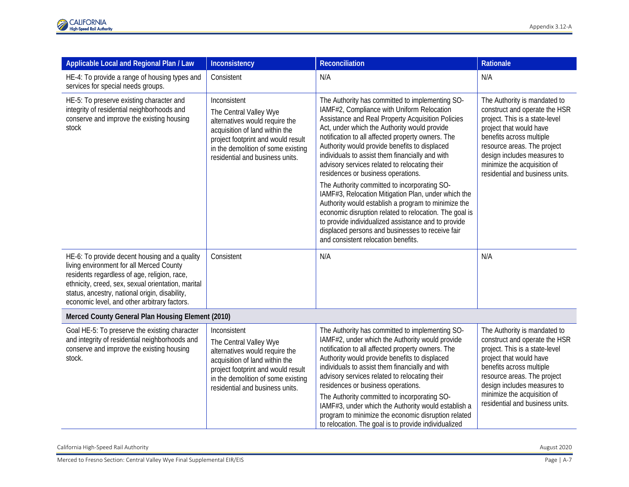| Applicable Local and Regional Plan / Law                                                                                                                                                                                                                                                          | Inconsistency                                                                                                                                                                                                             | <b>Reconciliation</b>                                                                                                                                                                                                                                                                                                                                                                                                                                                                                                                                                                                                                                                                                                                                                                                                        | Rationale                                                                                                                                                                                                                                                                              |
|---------------------------------------------------------------------------------------------------------------------------------------------------------------------------------------------------------------------------------------------------------------------------------------------------|---------------------------------------------------------------------------------------------------------------------------------------------------------------------------------------------------------------------------|------------------------------------------------------------------------------------------------------------------------------------------------------------------------------------------------------------------------------------------------------------------------------------------------------------------------------------------------------------------------------------------------------------------------------------------------------------------------------------------------------------------------------------------------------------------------------------------------------------------------------------------------------------------------------------------------------------------------------------------------------------------------------------------------------------------------------|----------------------------------------------------------------------------------------------------------------------------------------------------------------------------------------------------------------------------------------------------------------------------------------|
| HE-4: To provide a range of housing types and<br>services for special needs groups.                                                                                                                                                                                                               | Consistent                                                                                                                                                                                                                | N/A                                                                                                                                                                                                                                                                                                                                                                                                                                                                                                                                                                                                                                                                                                                                                                                                                          | N/A                                                                                                                                                                                                                                                                                    |
| HE-5: To preserve existing character and<br>integrity of residential neighborhoods and<br>conserve and improve the existing housing<br>stock                                                                                                                                                      | Inconsistent<br>The Central Valley Wye<br>alternatives would require the<br>acquisition of land within the<br>project footprint and would result<br>in the demolition of some existing<br>residential and business units. | The Authority has committed to implementing SO-<br>IAMF#2, Compliance with Uniform Relocation<br>Assistance and Real Property Acquisition Policies<br>Act, under which the Authority would provide<br>notification to all affected property owners. The<br>Authority would provide benefits to displaced<br>individuals to assist them financially and with<br>advisory services related to relocating their<br>residences or business operations.<br>The Authority committed to incorporating SO-<br>IAMF#3, Relocation Mitigation Plan, under which the<br>Authority would establish a program to minimize the<br>economic disruption related to relocation. The goal is<br>to provide individualized assistance and to provide<br>displaced persons and businesses to receive fair<br>and consistent relocation benefits. | The Authority is mandated to<br>construct and operate the HSR<br>project. This is a state-level<br>project that would have<br>benefits across multiple<br>resource areas. The project<br>design includes measures to<br>minimize the acquisition of<br>residential and business units. |
| HE-6: To provide decent housing and a quality<br>living environment for all Merced County<br>residents regardless of age, religion, race,<br>ethnicity, creed, sex, sexual orientation, marital<br>status, ancestry, national origin, disability,<br>economic level, and other arbitrary factors. | Consistent                                                                                                                                                                                                                | N/A                                                                                                                                                                                                                                                                                                                                                                                                                                                                                                                                                                                                                                                                                                                                                                                                                          | N/A                                                                                                                                                                                                                                                                                    |
| Merced County General Plan Housing Element (2010)                                                                                                                                                                                                                                                 |                                                                                                                                                                                                                           |                                                                                                                                                                                                                                                                                                                                                                                                                                                                                                                                                                                                                                                                                                                                                                                                                              |                                                                                                                                                                                                                                                                                        |
| Goal HE-5: To preserve the existing character<br>and integrity of residential neighborhoods and<br>conserve and improve the existing housing<br>stock.                                                                                                                                            | Inconsistent<br>The Central Valley Wye<br>alternatives would require the<br>acquisition of land within the<br>project footprint and would result<br>in the demolition of some existing<br>residential and business units. | The Authority has committed to implementing SO-<br>IAMF#2, under which the Authority would provide<br>notification to all affected property owners. The<br>Authority would provide benefits to displaced<br>individuals to assist them financially and with<br>advisory services related to relocating their<br>residences or business operations.<br>The Authority committed to incorporating SO-<br>IAMF#3, under which the Authority would establish a<br>program to minimize the economic disruption related<br>to relocation. The goal is to provide individualized                                                                                                                                                                                                                                                     | The Authority is mandated to<br>construct and operate the HSR<br>project. This is a state-level<br>project that would have<br>benefits across multiple<br>resource areas. The project<br>design includes measures to<br>minimize the acquisition of<br>residential and business units. |

California High-Speed Rail Authority August 2020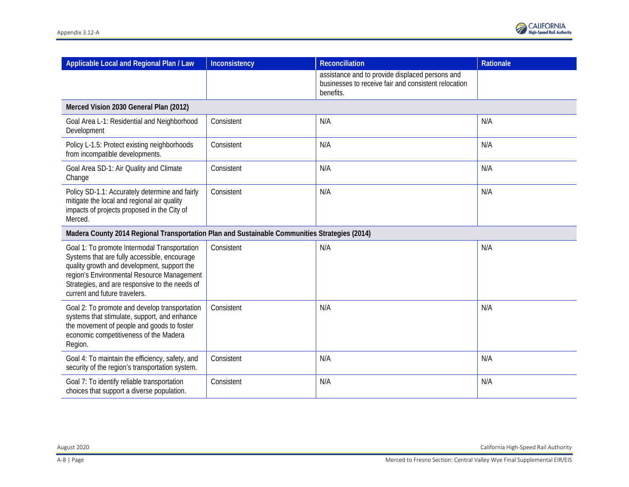| Applicable Local and Regional Plan / Law                                                                                                                                                                                                                                     | Inconsistency | <b>Reconciliation</b>                                                                                                | Rationale |
|------------------------------------------------------------------------------------------------------------------------------------------------------------------------------------------------------------------------------------------------------------------------------|---------------|----------------------------------------------------------------------------------------------------------------------|-----------|
|                                                                                                                                                                                                                                                                              |               | assistance and to provide displaced persons and<br>businesses to receive fair and consistent relocation<br>benefits. |           |
| Merced Vision 2030 General Plan (2012)                                                                                                                                                                                                                                       |               |                                                                                                                      |           |
| Goal Area L-1: Residential and Neighborhood<br>Development                                                                                                                                                                                                                   | Consistent    | N/A                                                                                                                  | N/A       |
| Policy L-1.5: Protect existing neighborhoods<br>from incompatible developments.                                                                                                                                                                                              | Consistent    | N/A                                                                                                                  | N/A       |
| Goal Area SD-1: Air Quality and Climate<br>Change                                                                                                                                                                                                                            | Consistent    | N/A                                                                                                                  | N/A       |
| Policy SD-1.1: Accurately determine and fairly<br>mitigate the local and regional air quality<br>impacts of projects proposed in the City of<br>Merced.                                                                                                                      | Consistent    | N/A                                                                                                                  | N/A       |
| Madera County 2014 Regional Transportation Plan and Sustainable Communities Strategies (2014)                                                                                                                                                                                |               |                                                                                                                      |           |
| Goal 1: To promote Intermodal Transportation<br>Systems that are fully accessible, encourage<br>quality growth and development, support the<br>region's Environmental Resource Management<br>Strategies, and are responsive to the needs of<br>current and future travelers. | Consistent    | N/A                                                                                                                  | N/A       |
| Goal 2: To promote and develop transportation<br>systems that stimulate, support, and enhance<br>the movement of people and goods to foster<br>economic competitiveness of the Madera<br>Region.                                                                             | Consistent    | N/A                                                                                                                  | N/A       |
| Goal 4: To maintain the efficiency, safety, and<br>security of the region's transportation system.                                                                                                                                                                           | Consistent    | N/A                                                                                                                  | N/A       |
| Goal 7: To identify reliable transportation<br>choices that support a diverse population.                                                                                                                                                                                    | Consistent    | N/A                                                                                                                  | N/A       |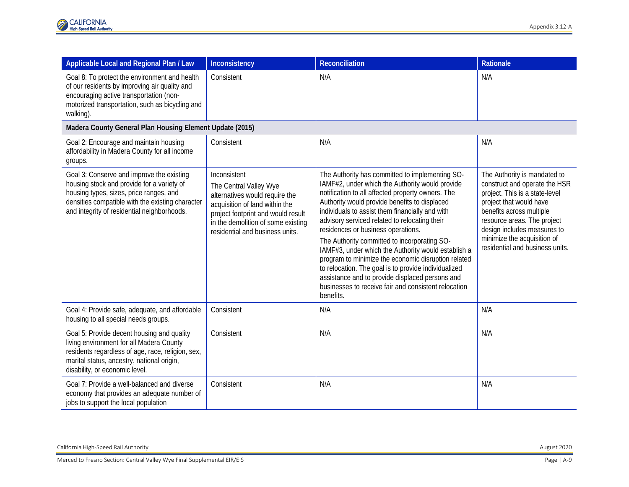| Applicable Local and Regional Plan / Law                                                                                                                                                                                              | Inconsistency                                                                                                                                                                                                             | <b>Reconciliation</b>                                                                                                                                                                                                                                                                                                                                                                                                                                                                                                                                                                                                                                                                            | Rationale                                                                                                                                                                                                                                                                              |
|---------------------------------------------------------------------------------------------------------------------------------------------------------------------------------------------------------------------------------------|---------------------------------------------------------------------------------------------------------------------------------------------------------------------------------------------------------------------------|--------------------------------------------------------------------------------------------------------------------------------------------------------------------------------------------------------------------------------------------------------------------------------------------------------------------------------------------------------------------------------------------------------------------------------------------------------------------------------------------------------------------------------------------------------------------------------------------------------------------------------------------------------------------------------------------------|----------------------------------------------------------------------------------------------------------------------------------------------------------------------------------------------------------------------------------------------------------------------------------------|
| Goal 8: To protect the environment and health<br>of our residents by improving air quality and<br>encouraging active transportation (non-<br>motorized transportation, such as bicycling and<br>walking).                             | Consistent                                                                                                                                                                                                                | N/A                                                                                                                                                                                                                                                                                                                                                                                                                                                                                                                                                                                                                                                                                              | N/A                                                                                                                                                                                                                                                                                    |
| Madera County General Plan Housing Element Update (2015)                                                                                                                                                                              |                                                                                                                                                                                                                           |                                                                                                                                                                                                                                                                                                                                                                                                                                                                                                                                                                                                                                                                                                  |                                                                                                                                                                                                                                                                                        |
| Goal 2: Encourage and maintain housing<br>affordability in Madera County for all income<br>groups.                                                                                                                                    | Consistent                                                                                                                                                                                                                | N/A                                                                                                                                                                                                                                                                                                                                                                                                                                                                                                                                                                                                                                                                                              | N/A                                                                                                                                                                                                                                                                                    |
| Goal 3: Conserve and improve the existing<br>housing stock and provide for a variety of<br>housing types, sizes, price ranges, and<br>densities compatible with the existing character<br>and integrity of residential neighborhoods. | Inconsistent<br>The Central Valley Wye<br>alternatives would require the<br>acquisition of land within the<br>project footprint and would result<br>in the demolition of some existing<br>residential and business units. | The Authority has committed to implementing SO-<br>IAMF#2, under which the Authority would provide<br>notification to all affected property owners. The<br>Authority would provide benefits to displaced<br>individuals to assist them financially and with<br>advisory serviced related to relocating their<br>residences or business operations.<br>The Authority committed to incorporating SO-<br>IAMF#3, under which the Authority would establish a<br>program to minimize the economic disruption related<br>to relocation. The goal is to provide individualized<br>assistance and to provide displaced persons and<br>businesses to receive fair and consistent relocation<br>benefits. | The Authority is mandated to<br>construct and operate the HSR<br>project. This is a state-level<br>project that would have<br>benefits across multiple<br>resource areas. The project<br>design includes measures to<br>minimize the acquisition of<br>residential and business units. |
| Goal 4: Provide safe, adequate, and affordable<br>housing to all special needs groups.                                                                                                                                                | Consistent                                                                                                                                                                                                                | N/A                                                                                                                                                                                                                                                                                                                                                                                                                                                                                                                                                                                                                                                                                              | N/A                                                                                                                                                                                                                                                                                    |
| Goal 5: Provide decent housing and quality<br>living environment for all Madera County<br>residents regardless of age, race, religion, sex,<br>marital status, ancestry, national origin,<br>disability, or economic level.           | Consistent                                                                                                                                                                                                                | N/A                                                                                                                                                                                                                                                                                                                                                                                                                                                                                                                                                                                                                                                                                              | N/A                                                                                                                                                                                                                                                                                    |
| Goal 7: Provide a well-balanced and diverse<br>economy that provides an adequate number of<br>jobs to support the local population                                                                                                    | Consistent                                                                                                                                                                                                                | N/A                                                                                                                                                                                                                                                                                                                                                                                                                                                                                                                                                                                                                                                                                              | N/A                                                                                                                                                                                                                                                                                    |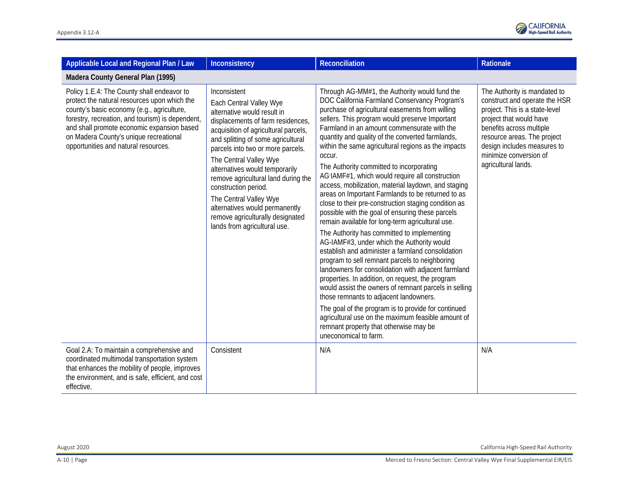

| Applicable Local and Regional Plan / Law                                                                                                                                                                                                                                                                                     | Inconsistency                                                                                                                                                                                                                                                                                                                                                                                                                                                                             | Reconciliation                                                                                                                                                                                                                                                                                                                                                                                                                                                                                                                                                                                                                                                                                                                                                                                                                                                                                                                                                                                                                                                                                                                                                                                                                                                                                                                                       | <b>Rationale</b>                                                                                                                                                                                                                                                      |  |  |
|------------------------------------------------------------------------------------------------------------------------------------------------------------------------------------------------------------------------------------------------------------------------------------------------------------------------------|-------------------------------------------------------------------------------------------------------------------------------------------------------------------------------------------------------------------------------------------------------------------------------------------------------------------------------------------------------------------------------------------------------------------------------------------------------------------------------------------|------------------------------------------------------------------------------------------------------------------------------------------------------------------------------------------------------------------------------------------------------------------------------------------------------------------------------------------------------------------------------------------------------------------------------------------------------------------------------------------------------------------------------------------------------------------------------------------------------------------------------------------------------------------------------------------------------------------------------------------------------------------------------------------------------------------------------------------------------------------------------------------------------------------------------------------------------------------------------------------------------------------------------------------------------------------------------------------------------------------------------------------------------------------------------------------------------------------------------------------------------------------------------------------------------------------------------------------------------|-----------------------------------------------------------------------------------------------------------------------------------------------------------------------------------------------------------------------------------------------------------------------|--|--|
| Madera County General Plan (1995)                                                                                                                                                                                                                                                                                            |                                                                                                                                                                                                                                                                                                                                                                                                                                                                                           |                                                                                                                                                                                                                                                                                                                                                                                                                                                                                                                                                                                                                                                                                                                                                                                                                                                                                                                                                                                                                                                                                                                                                                                                                                                                                                                                                      |                                                                                                                                                                                                                                                                       |  |  |
| Policy 1.E.4: The County shall endeavor to<br>protect the natural resources upon which the<br>county's basic economy (e.g., agriculture,<br>forestry, recreation, and tourism) is dependent,<br>and shall promote economic expansion based<br>on Madera County's unique recreational<br>opportunities and natural resources. | Inconsistent<br>Each Central Valley Wye<br>alternative would result in<br>displacements of farm residences,<br>acquisition of agricultural parcels,<br>and splitting of some agricultural<br>parcels into two or more parcels.<br>The Central Valley Wye<br>alternatives would temporarily<br>remove agricultural land during the<br>construction period.<br>The Central Valley Wye<br>alternatives would permanently<br>remove agriculturally designated<br>lands from agricultural use. | Through AG-MM#1, the Authority would fund the<br>DOC California Farmland Conservancy Program's<br>purchase of agricultural easements from willing<br>sellers. This program would preserve Important<br>Farmland in an amount commensurate with the<br>quantity and quality of the converted farmlands,<br>within the same agricultural regions as the impacts<br>occur.<br>The Authority committed to incorporating<br>AG IAMF#1, which would require all construction<br>access, mobilization, material laydown, and staging<br>areas on Important Farmlands to be returned to as<br>close to their pre-construction staging condition as<br>possible with the goal of ensuring these parcels<br>remain available for long-term agricultural use.<br>The Authority has committed to implementing<br>AG-IAMF#3, under which the Authority would<br>establish and administer a farmland consolidation<br>program to sell remnant parcels to neighboring<br>landowners for consolidation with adjacent farmland<br>properties. In addition, on request, the program<br>would assist the owners of remnant parcels in selling<br>those remnants to adjacent landowners.<br>The goal of the program is to provide for continued<br>agricultural use on the maximum feasible amount of<br>remnant property that otherwise may be<br>uneconomical to farm. | The Authority is mandated to<br>construct and operate the HSR<br>project. This is a state-level<br>project that would have<br>benefits across multiple<br>resource areas. The project<br>design includes measures to<br>minimize conversion of<br>agricultural lands. |  |  |
| Goal 2.A: To maintain a comprehensive and<br>coordinated multimodal transportation system<br>that enhances the mobility of people, improves<br>the environment, and is safe, efficient, and cost<br>effective.                                                                                                               | Consistent                                                                                                                                                                                                                                                                                                                                                                                                                                                                                | N/A                                                                                                                                                                                                                                                                                                                                                                                                                                                                                                                                                                                                                                                                                                                                                                                                                                                                                                                                                                                                                                                                                                                                                                                                                                                                                                                                                  | N/A                                                                                                                                                                                                                                                                   |  |  |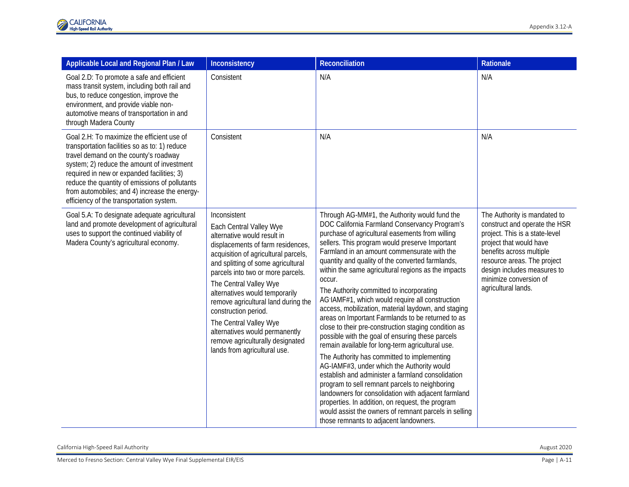| Applicable Local and Regional Plan / Law                                                                                                                                                                                                                                                                                                                                        | Inconsistency                                                                                                                                                                                                                                                                                                                                                                                                                                                                             | <b>Reconciliation</b>                                                                                                                                                                                                                                                                                                                                                                                                                                                                                                                                                                                                                                                                                                                                                                                                                                                                                                                                                                                                                                                                                                                                                | <b>Rationale</b>                                                                                                                                                                                                                                                      |
|---------------------------------------------------------------------------------------------------------------------------------------------------------------------------------------------------------------------------------------------------------------------------------------------------------------------------------------------------------------------------------|-------------------------------------------------------------------------------------------------------------------------------------------------------------------------------------------------------------------------------------------------------------------------------------------------------------------------------------------------------------------------------------------------------------------------------------------------------------------------------------------|----------------------------------------------------------------------------------------------------------------------------------------------------------------------------------------------------------------------------------------------------------------------------------------------------------------------------------------------------------------------------------------------------------------------------------------------------------------------------------------------------------------------------------------------------------------------------------------------------------------------------------------------------------------------------------------------------------------------------------------------------------------------------------------------------------------------------------------------------------------------------------------------------------------------------------------------------------------------------------------------------------------------------------------------------------------------------------------------------------------------------------------------------------------------|-----------------------------------------------------------------------------------------------------------------------------------------------------------------------------------------------------------------------------------------------------------------------|
| Goal 2.D: To promote a safe and efficient<br>mass transit system, including both rail and<br>bus, to reduce congestion, improve the<br>environment, and provide viable non-<br>automotive means of transportation in and<br>through Madera County                                                                                                                               | Consistent                                                                                                                                                                                                                                                                                                                                                                                                                                                                                | N/A                                                                                                                                                                                                                                                                                                                                                                                                                                                                                                                                                                                                                                                                                                                                                                                                                                                                                                                                                                                                                                                                                                                                                                  | N/A                                                                                                                                                                                                                                                                   |
| Goal 2.H: To maximize the efficient use of<br>transportation facilities so as to: 1) reduce<br>travel demand on the county's roadway<br>system; 2) reduce the amount of investment<br>required in new or expanded facilities; 3)<br>reduce the quantity of emissions of pollutants<br>from automobiles; and 4) increase the energy-<br>efficiency of the transportation system. | Consistent                                                                                                                                                                                                                                                                                                                                                                                                                                                                                | N/A                                                                                                                                                                                                                                                                                                                                                                                                                                                                                                                                                                                                                                                                                                                                                                                                                                                                                                                                                                                                                                                                                                                                                                  | N/A                                                                                                                                                                                                                                                                   |
| Goal 5.A: To designate adequate agricultural<br>land and promote development of agricultural<br>uses to support the continued viability of<br>Madera County's agricultural economy.                                                                                                                                                                                             | Inconsistent<br>Each Central Valley Wye<br>alternative would result in<br>displacements of farm residences,<br>acquisition of agricultural parcels,<br>and splitting of some agricultural<br>parcels into two or more parcels.<br>The Central Valley Wye<br>alternatives would temporarily<br>remove agricultural land during the<br>construction period.<br>The Central Valley Wye<br>alternatives would permanently<br>remove agriculturally designated<br>lands from agricultural use. | Through AG-MM#1, the Authority would fund the<br>DOC California Farmland Conservancy Program's<br>purchase of agricultural easements from willing<br>sellers. This program would preserve Important<br>Farmland in an amount commensurate with the<br>quantity and quality of the converted farmlands,<br>within the same agricultural regions as the impacts<br>occur.<br>The Authority committed to incorporating<br>AG IAMF#1, which would require all construction<br>access, mobilization, material laydown, and staging<br>areas on Important Farmlands to be returned to as<br>close to their pre-construction staging condition as<br>possible with the goal of ensuring these parcels<br>remain available for long-term agricultural use.<br>The Authority has committed to implementing<br>AG-IAMF#3, under which the Authority would<br>establish and administer a farmland consolidation<br>program to sell remnant parcels to neighboring<br>landowners for consolidation with adjacent farmland<br>properties. In addition, on request, the program<br>would assist the owners of remnant parcels in selling<br>those remnants to adjacent landowners. | The Authority is mandated to<br>construct and operate the HSR<br>project. This is a state-level<br>project that would have<br>benefits across multiple<br>resource areas. The project<br>design includes measures to<br>minimize conversion of<br>agricultural lands. |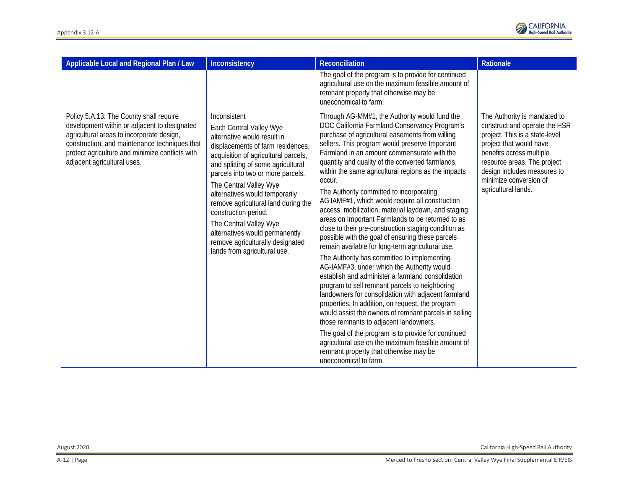

| Applicable Local and Regional Plan / Law                                                                                                                                                                                                                                | Inconsistency                                                                                                                                                                                                                                                                                                                                                                                                                                                                             | <b>Reconciliation</b>                                                                                                                                                                                                                                                                                                                                                                                                                                                                                                                                                                                                                                                                                                                                                                                                                                                                                                                                                                                                                                                                                                                                                                                                                                                                                                                                | Rationale                                                                                                                                                                                                                                                             |
|-------------------------------------------------------------------------------------------------------------------------------------------------------------------------------------------------------------------------------------------------------------------------|-------------------------------------------------------------------------------------------------------------------------------------------------------------------------------------------------------------------------------------------------------------------------------------------------------------------------------------------------------------------------------------------------------------------------------------------------------------------------------------------|------------------------------------------------------------------------------------------------------------------------------------------------------------------------------------------------------------------------------------------------------------------------------------------------------------------------------------------------------------------------------------------------------------------------------------------------------------------------------------------------------------------------------------------------------------------------------------------------------------------------------------------------------------------------------------------------------------------------------------------------------------------------------------------------------------------------------------------------------------------------------------------------------------------------------------------------------------------------------------------------------------------------------------------------------------------------------------------------------------------------------------------------------------------------------------------------------------------------------------------------------------------------------------------------------------------------------------------------------|-----------------------------------------------------------------------------------------------------------------------------------------------------------------------------------------------------------------------------------------------------------------------|
|                                                                                                                                                                                                                                                                         |                                                                                                                                                                                                                                                                                                                                                                                                                                                                                           | The goal of the program is to provide for continued<br>agricultural use on the maximum feasible amount of<br>remnant property that otherwise may be<br>uneconomical to farm.                                                                                                                                                                                                                                                                                                                                                                                                                                                                                                                                                                                                                                                                                                                                                                                                                                                                                                                                                                                                                                                                                                                                                                         |                                                                                                                                                                                                                                                                       |
| Policy 5.A.13: The County shall require<br>development within or adjacent to designated<br>agricultural areas to incorporate design,<br>construction, and maintenance techniques that<br>protect agriculture and minimize conflicts with<br>adjacent agricultural uses. | Inconsistent<br>Each Central Valley Wye<br>alternative would result in<br>displacements of farm residences,<br>acquisition of agricultural parcels,<br>and splitting of some agricultural<br>parcels into two or more parcels.<br>The Central Valley Wye<br>alternatives would temporarily<br>remove agricultural land during the<br>construction period.<br>The Central Valley Wye<br>alternatives would permanently<br>remove agriculturally designated<br>lands from agricultural use. | Through AG-MM#1, the Authority would fund the<br>DOC California Farmland Conservancy Program's<br>purchase of agricultural easements from willing<br>sellers. This program would preserve Important<br>Farmland in an amount commensurate with the<br>quantity and quality of the converted farmlands,<br>within the same agricultural regions as the impacts<br>occur.<br>The Authority committed to incorporating<br>AG IAMF#1, which would require all construction<br>access, mobilization, material laydown, and staging<br>areas on Important Farmlands to be returned to as<br>close to their pre-construction staging condition as<br>possible with the goal of ensuring these parcels<br>remain available for long-term agricultural use.<br>The Authority has committed to implementing<br>AG-IAMF#3, under which the Authority would<br>establish and administer a farmland consolidation<br>program to sell remnant parcels to neighboring<br>landowners for consolidation with adjacent farmland<br>properties. In addition, on request, the program<br>would assist the owners of remnant parcels in selling<br>those remnants to adjacent landowners.<br>The goal of the program is to provide for continued<br>agricultural use on the maximum feasible amount of<br>remnant property that otherwise may be<br>uneconomical to farm. | The Authority is mandated to<br>construct and operate the HSR<br>project. This is a state-level<br>project that would have<br>benefits across multiple<br>resource areas. The project<br>design includes measures to<br>minimize conversion of<br>agricultural lands. |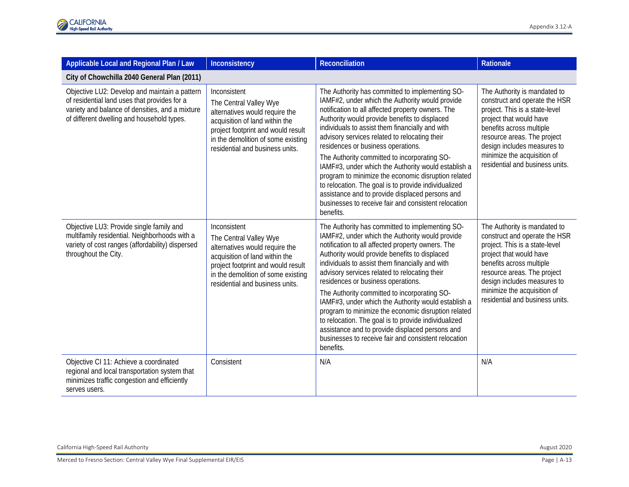| Applicable Local and Regional Plan / Law                                                                                                                                                       | Inconsistency                                                                                                                                                                                                             | <b>Reconciliation</b>                                                                                                                                                                                                                                                                                                                                                                                                                                                                                                                                                                                                                                                                            | <b>Rationale</b>                                                                                                                                                                                                                                                                       |  |  |  |
|------------------------------------------------------------------------------------------------------------------------------------------------------------------------------------------------|---------------------------------------------------------------------------------------------------------------------------------------------------------------------------------------------------------------------------|--------------------------------------------------------------------------------------------------------------------------------------------------------------------------------------------------------------------------------------------------------------------------------------------------------------------------------------------------------------------------------------------------------------------------------------------------------------------------------------------------------------------------------------------------------------------------------------------------------------------------------------------------------------------------------------------------|----------------------------------------------------------------------------------------------------------------------------------------------------------------------------------------------------------------------------------------------------------------------------------------|--|--|--|
| City of Chowchilla 2040 General Plan (2011)                                                                                                                                                    |                                                                                                                                                                                                                           |                                                                                                                                                                                                                                                                                                                                                                                                                                                                                                                                                                                                                                                                                                  |                                                                                                                                                                                                                                                                                        |  |  |  |
| Objective LU2: Develop and maintain a pattern<br>of residential land uses that provides for a<br>variety and balance of densities, and a mixture<br>of different dwelling and household types. | Inconsistent<br>The Central Valley Wye<br>alternatives would require the<br>acquisition of land within the<br>project footprint and would result<br>in the demolition of some existing<br>residential and business units. | The Authority has committed to implementing SO-<br>IAMF#2, under which the Authority would provide<br>notification to all affected property owners. The<br>Authority would provide benefits to displaced<br>individuals to assist them financially and with<br>advisory services related to relocating their<br>residences or business operations.<br>The Authority committed to incorporating SO-<br>IAMF#3, under which the Authority would establish a<br>program to minimize the economic disruption related<br>to relocation. The goal is to provide individualized<br>assistance and to provide displaced persons and<br>businesses to receive fair and consistent relocation<br>benefits. | The Authority is mandated to<br>construct and operate the HSR<br>project. This is a state-level<br>project that would have<br>benefits across multiple<br>resource areas. The project<br>design includes measures to<br>minimize the acquisition of<br>residential and business units. |  |  |  |
| Objective LU3: Provide single family and<br>multifamily residential. Neighborhoods with a<br>variety of cost ranges (affordability) dispersed<br>throughout the City.                          | Inconsistent<br>The Central Valley Wye<br>alternatives would require the<br>acquisition of land within the<br>project footprint and would result<br>in the demolition of some existing<br>residential and business units. | The Authority has committed to implementing SO-<br>IAMF#2, under which the Authority would provide<br>notification to all affected property owners. The<br>Authority would provide benefits to displaced<br>individuals to assist them financially and with<br>advisory services related to relocating their<br>residences or business operations.<br>The Authority committed to incorporating SO-<br>IAMF#3, under which the Authority would establish a<br>program to minimize the economic disruption related<br>to relocation. The goal is to provide individualized<br>assistance and to provide displaced persons and<br>businesses to receive fair and consistent relocation<br>benefits. | The Authority is mandated to<br>construct and operate the HSR<br>project. This is a state-level<br>project that would have<br>benefits across multiple<br>resource areas. The project<br>design includes measures to<br>minimize the acquisition of<br>residential and business units. |  |  |  |
| Objective CI 11: Achieve a coordinated<br>regional and local transportation system that<br>minimizes traffic congestion and efficiently<br>serves users.                                       | Consistent                                                                                                                                                                                                                | N/A                                                                                                                                                                                                                                                                                                                                                                                                                                                                                                                                                                                                                                                                                              | N/A                                                                                                                                                                                                                                                                                    |  |  |  |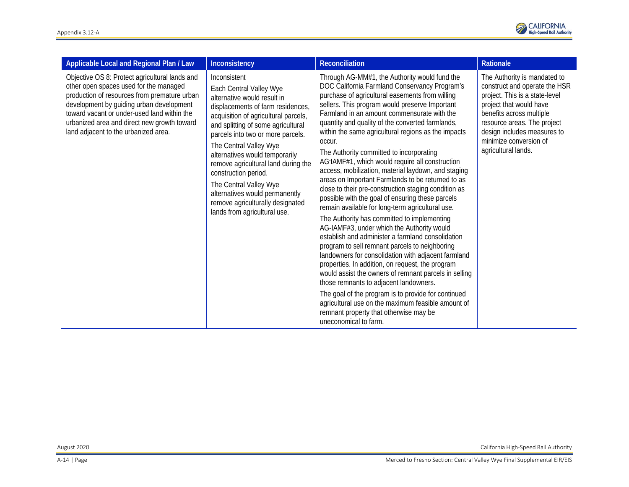

| Applicable Local and Regional Plan / Law                                                                                                                                                                                                                                                                                   | Inconsistency                                                                                                                                                                                                                                                                                                                                                                                                                                                                             | Reconciliation                                                                                                                                                                                                                                                                                                                                                                                                                                                                                                                                                                                                                                                                                                                                                                                                                                                                                                                                                                                                                                                                                                                                                                                                                                                                                                                                       | Rationale                                                                                                                                                                                                                                                             |
|----------------------------------------------------------------------------------------------------------------------------------------------------------------------------------------------------------------------------------------------------------------------------------------------------------------------------|-------------------------------------------------------------------------------------------------------------------------------------------------------------------------------------------------------------------------------------------------------------------------------------------------------------------------------------------------------------------------------------------------------------------------------------------------------------------------------------------|------------------------------------------------------------------------------------------------------------------------------------------------------------------------------------------------------------------------------------------------------------------------------------------------------------------------------------------------------------------------------------------------------------------------------------------------------------------------------------------------------------------------------------------------------------------------------------------------------------------------------------------------------------------------------------------------------------------------------------------------------------------------------------------------------------------------------------------------------------------------------------------------------------------------------------------------------------------------------------------------------------------------------------------------------------------------------------------------------------------------------------------------------------------------------------------------------------------------------------------------------------------------------------------------------------------------------------------------------|-----------------------------------------------------------------------------------------------------------------------------------------------------------------------------------------------------------------------------------------------------------------------|
| Objective OS 8: Protect agricultural lands and<br>other open spaces used for the managed<br>production of resources from premature urban<br>development by guiding urban development<br>toward vacant or under-used land within the<br>urbanized area and direct new growth toward<br>land adjacent to the urbanized area. | Inconsistent<br>Each Central Valley Wye<br>alternative would result in<br>displacements of farm residences,<br>acquisition of agricultural parcels,<br>and splitting of some agricultural<br>parcels into two or more parcels.<br>The Central Valley Wye<br>alternatives would temporarily<br>remove agricultural land during the<br>construction period.<br>The Central Valley Wye<br>alternatives would permanently<br>remove agriculturally designated<br>lands from agricultural use. | Through AG-MM#1, the Authority would fund the<br>DOC California Farmland Conservancy Program's<br>purchase of agricultural easements from willing<br>sellers. This program would preserve Important<br>Farmland in an amount commensurate with the<br>quantity and quality of the converted farmlands,<br>within the same agricultural regions as the impacts<br>occur.<br>The Authority committed to incorporating<br>AG IAMF#1, which would require all construction<br>access, mobilization, material laydown, and staging<br>areas on Important Farmlands to be returned to as<br>close to their pre-construction staging condition as<br>possible with the goal of ensuring these parcels<br>remain available for long-term agricultural use.<br>The Authority has committed to implementing<br>AG-IAMF#3, under which the Authority would<br>establish and administer a farmland consolidation<br>program to sell remnant parcels to neighboring<br>landowners for consolidation with adjacent farmland<br>properties. In addition, on request, the program<br>would assist the owners of remnant parcels in selling<br>those remnants to adjacent landowners.<br>The goal of the program is to provide for continued<br>agricultural use on the maximum feasible amount of<br>remnant property that otherwise may be<br>uneconomical to farm. | The Authority is mandated to<br>construct and operate the HSR<br>project. This is a state-level<br>project that would have<br>benefits across multiple<br>resource areas. The project<br>design includes measures to<br>minimize conversion of<br>agricultural lands. |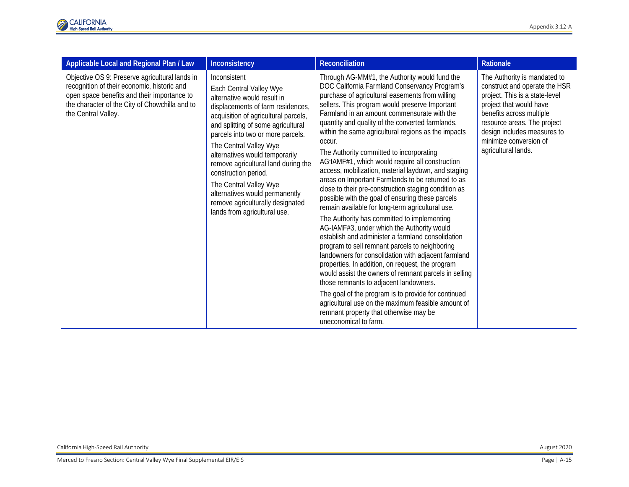

| Applicable Local and Regional Plan / Law                                                                                                                                                                              | Inconsistency                                                                                                                                                                                                                                                                                                                                                                                                                                                                             | <b>Reconciliation</b>                                                                                                                                                                                                                                                                                                                                                                                                                                                                                                                                                                                                                                                                                                                                                                                                                                                                                                                                                                                                                                                                                                                                                                                                                                                                                                                                | Rationale                                                                                                                                                                                                                                                             |
|-----------------------------------------------------------------------------------------------------------------------------------------------------------------------------------------------------------------------|-------------------------------------------------------------------------------------------------------------------------------------------------------------------------------------------------------------------------------------------------------------------------------------------------------------------------------------------------------------------------------------------------------------------------------------------------------------------------------------------|------------------------------------------------------------------------------------------------------------------------------------------------------------------------------------------------------------------------------------------------------------------------------------------------------------------------------------------------------------------------------------------------------------------------------------------------------------------------------------------------------------------------------------------------------------------------------------------------------------------------------------------------------------------------------------------------------------------------------------------------------------------------------------------------------------------------------------------------------------------------------------------------------------------------------------------------------------------------------------------------------------------------------------------------------------------------------------------------------------------------------------------------------------------------------------------------------------------------------------------------------------------------------------------------------------------------------------------------------|-----------------------------------------------------------------------------------------------------------------------------------------------------------------------------------------------------------------------------------------------------------------------|
| Objective OS 9: Preserve agricultural lands in<br>recognition of their economic, historic and<br>open space benefits and their importance to<br>the character of the City of Chowchilla and to<br>the Central Valley. | Inconsistent<br>Each Central Valley Wye<br>alternative would result in<br>displacements of farm residences,<br>acquisition of agricultural parcels,<br>and splitting of some agricultural<br>parcels into two or more parcels.<br>The Central Valley Wye<br>alternatives would temporarily<br>remove agricultural land during the<br>construction period.<br>The Central Valley Wye<br>alternatives would permanently<br>remove agriculturally designated<br>lands from agricultural use. | Through AG-MM#1, the Authority would fund the<br>DOC California Farmland Conservancy Program's<br>purchase of agricultural easements from willing<br>sellers. This program would preserve Important<br>Farmland in an amount commensurate with the<br>quantity and quality of the converted farmlands,<br>within the same agricultural regions as the impacts<br>occur.<br>The Authority committed to incorporating<br>AG IAMF#1, which would require all construction<br>access, mobilization, material laydown, and staging<br>areas on Important Farmlands to be returned to as<br>close to their pre-construction staging condition as<br>possible with the goal of ensuring these parcels<br>remain available for long-term agricultural use.<br>The Authority has committed to implementing<br>AG-IAMF#3, under which the Authority would<br>establish and administer a farmland consolidation<br>program to sell remnant parcels to neighboring<br>landowners for consolidation with adjacent farmland<br>properties. In addition, on request, the program<br>would assist the owners of remnant parcels in selling<br>those remnants to adjacent landowners.<br>The goal of the program is to provide for continued<br>agricultural use on the maximum feasible amount of<br>remnant property that otherwise may be<br>uneconomical to farm. | The Authority is mandated to<br>construct and operate the HSR<br>project. This is a state-level<br>project that would have<br>benefits across multiple<br>resource areas. The project<br>design includes measures to<br>minimize conversion of<br>agricultural lands. |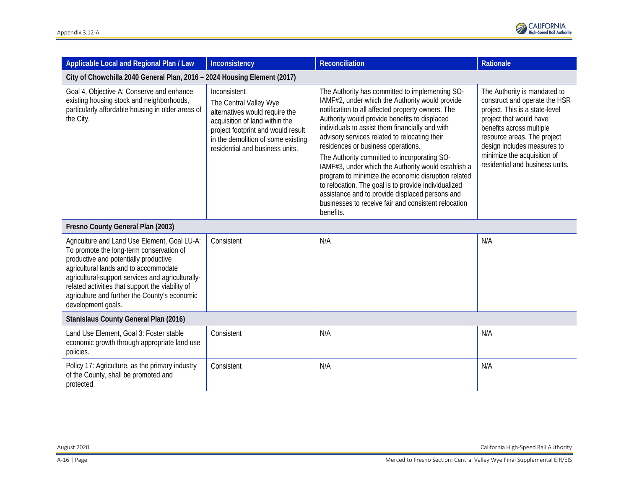

| Applicable Local and Regional Plan / Law                                                                                                                                                                                                                                                                                                                   | Inconsistency                                                                                                                                                                                                             | Reconciliation                                                                                                                                                                                                                                                                                                                                                                                                                                                                                                                                                                                                                                                                                   | Rationale                                                                                                                                                                                                                                                                              |  |  |
|------------------------------------------------------------------------------------------------------------------------------------------------------------------------------------------------------------------------------------------------------------------------------------------------------------------------------------------------------------|---------------------------------------------------------------------------------------------------------------------------------------------------------------------------------------------------------------------------|--------------------------------------------------------------------------------------------------------------------------------------------------------------------------------------------------------------------------------------------------------------------------------------------------------------------------------------------------------------------------------------------------------------------------------------------------------------------------------------------------------------------------------------------------------------------------------------------------------------------------------------------------------------------------------------------------|----------------------------------------------------------------------------------------------------------------------------------------------------------------------------------------------------------------------------------------------------------------------------------------|--|--|
| City of Chowchilla 2040 General Plan, 2016 - 2024 Housing Element (2017)                                                                                                                                                                                                                                                                                   |                                                                                                                                                                                                                           |                                                                                                                                                                                                                                                                                                                                                                                                                                                                                                                                                                                                                                                                                                  |                                                                                                                                                                                                                                                                                        |  |  |
| Goal 4, Objective A: Conserve and enhance<br>existing housing stock and neighborhoods,<br>particularly affordable housing in older areas of<br>the City.                                                                                                                                                                                                   | Inconsistent<br>The Central Valley Wye<br>alternatives would require the<br>acquisition of land within the<br>project footprint and would result<br>in the demolition of some existing<br>residential and business units. | The Authority has committed to implementing SO-<br>IAMF#2, under which the Authority would provide<br>notification to all affected property owners. The<br>Authority would provide benefits to displaced<br>individuals to assist them financially and with<br>advisory services related to relocating their<br>residences or business operations.<br>The Authority committed to incorporating SO-<br>IAMF#3, under which the Authority would establish a<br>program to minimize the economic disruption related<br>to relocation. The goal is to provide individualized<br>assistance and to provide displaced persons and<br>businesses to receive fair and consistent relocation<br>benefits. | The Authority is mandated to<br>construct and operate the HSR<br>project. This is a state-level<br>project that would have<br>benefits across multiple<br>resource areas. The project<br>design includes measures to<br>minimize the acquisition of<br>residential and business units. |  |  |
| Fresno County General Plan (2003)                                                                                                                                                                                                                                                                                                                          |                                                                                                                                                                                                                           |                                                                                                                                                                                                                                                                                                                                                                                                                                                                                                                                                                                                                                                                                                  |                                                                                                                                                                                                                                                                                        |  |  |
| Agriculture and Land Use Element, Goal LU-A:<br>To promote the long-term conservation of<br>productive and potentially productive<br>agricultural lands and to accommodate<br>agricultural-support services and agriculturally-<br>related activities that support the viability of<br>agriculture and further the County's economic<br>development goals. | Consistent                                                                                                                                                                                                                | N/A                                                                                                                                                                                                                                                                                                                                                                                                                                                                                                                                                                                                                                                                                              | N/A                                                                                                                                                                                                                                                                                    |  |  |
| Stanislaus County General Plan (2016)                                                                                                                                                                                                                                                                                                                      |                                                                                                                                                                                                                           |                                                                                                                                                                                                                                                                                                                                                                                                                                                                                                                                                                                                                                                                                                  |                                                                                                                                                                                                                                                                                        |  |  |
| Land Use Element, Goal 3: Foster stable<br>economic growth through appropriate land use<br>policies.                                                                                                                                                                                                                                                       | Consistent                                                                                                                                                                                                                | N/A                                                                                                                                                                                                                                                                                                                                                                                                                                                                                                                                                                                                                                                                                              | N/A                                                                                                                                                                                                                                                                                    |  |  |
| Policy 17: Agriculture, as the primary industry<br>of the County, shall be promoted and<br>protected.                                                                                                                                                                                                                                                      | Consistent                                                                                                                                                                                                                | N/A                                                                                                                                                                                                                                                                                                                                                                                                                                                                                                                                                                                                                                                                                              | N/A                                                                                                                                                                                                                                                                                    |  |  |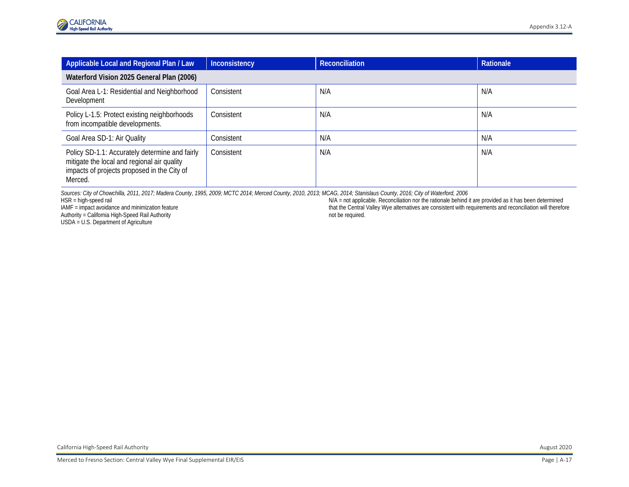| Applicable Local and Regional Plan / Law                                                                                                                | Inconsistency | <b>Reconciliation</b> | Rationale |  |  |
|---------------------------------------------------------------------------------------------------------------------------------------------------------|---------------|-----------------------|-----------|--|--|
| Waterford Vision 2025 General Plan (2006)                                                                                                               |               |                       |           |  |  |
| Goal Area L-1: Residential and Neighborhood<br>Development                                                                                              | Consistent    | N/A                   | N/A       |  |  |
| Policy L-1.5: Protect existing neighborhoods<br>from incompatible developments.                                                                         | Consistent    | N/A                   | N/A       |  |  |
| Goal Area SD-1: Air Quality                                                                                                                             | Consistent    | N/A                   | N/A       |  |  |
| Policy SD-1.1: Accurately determine and fairly<br>mitigate the local and regional air quality<br>impacts of projects proposed in the City of<br>Merced. | Consistent    | N/A                   | N/A       |  |  |

*Sources: City of Chowchilla, 2011, 2017; Madera County, 1995, 2009; MCTC 2014; Merced County, 2010, 2013; MCAG, 2014; Stanislaus County, 2016; City of Waterford, 2006*

HSR = high-speed rail

IAMF = impact avoidance and minimization feature Authority = California High-Speed Rail Authority

USDA = U.S. Department of Agriculture

N/A = not applicable. Reconciliation nor the rationale behind it are provided as it has been determined that the Central Valley Wye alternatives are consistent with requirements and reconciliation will therefore not be required.